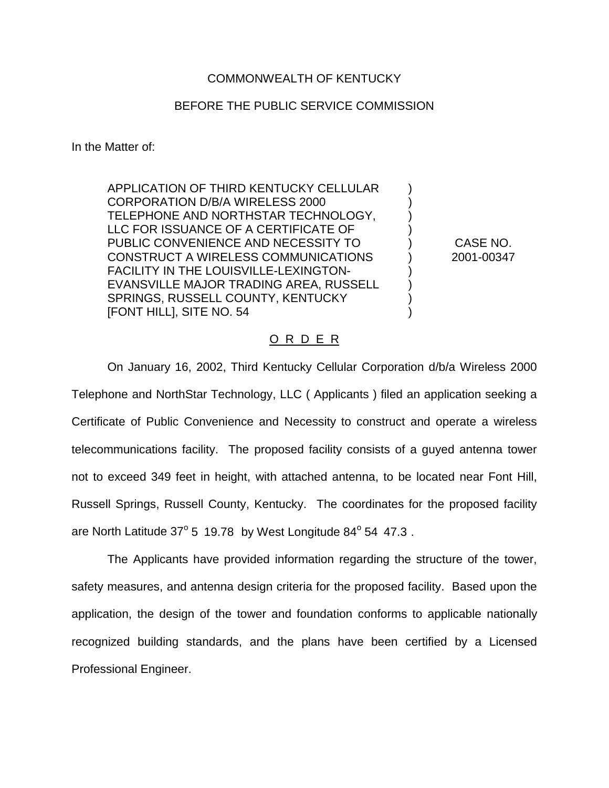## COMMONWEALTH OF KENTUCKY

## BEFORE THE PUBLIC SERVICE COMMISSION

In the Matter of:

APPLICATION OF THIRD KENTUCKY CELLULAR CORPORATION D/B/A WIRELESS 2000 TELEPHONE AND NORTHSTAR TECHNOLOGY, LLC FOR ISSUANCE OF A CERTIFICATE OF PUBLIC CONVENIENCE AND NECESSITY TO CONSTRUCT A WIRELESS COMMUNICATIONS FACILITY IN THE LOUISVILLE-LEXINGTON-EVANSVILLE MAJOR TRADING AREA, RUSSELL SPRINGS, RUSSELL COUNTY, KENTUCKY [FONT HILL], SITE NO. 54

CASE NO. 2001-00347

) ) ) ) ) ) ) ) ) )

## O R D E R

On January 16, 2002, Third Kentucky Cellular Corporation d/b/a Wireless 2000 Telephone and NorthStar Technology, LLC ( Applicants ) filed an application seeking a Certificate of Public Convenience and Necessity to construct and operate a wireless telecommunications facility. The proposed facility consists of a guyed antenna tower not to exceed 349 feet in height, with attached antenna, to be located near Font Hill, Russell Springs, Russell County, Kentucky. The coordinates for the proposed facility are North Latitude  $37^{\circ}$  5 19.78 by West Longitude  $84^{\circ}$  54 47.3.

The Applicants have provided information regarding the structure of the tower, safety measures, and antenna design criteria for the proposed facility. Based upon the application, the design of the tower and foundation conforms to applicable nationally recognized building standards, and the plans have been certified by a Licensed Professional Engineer.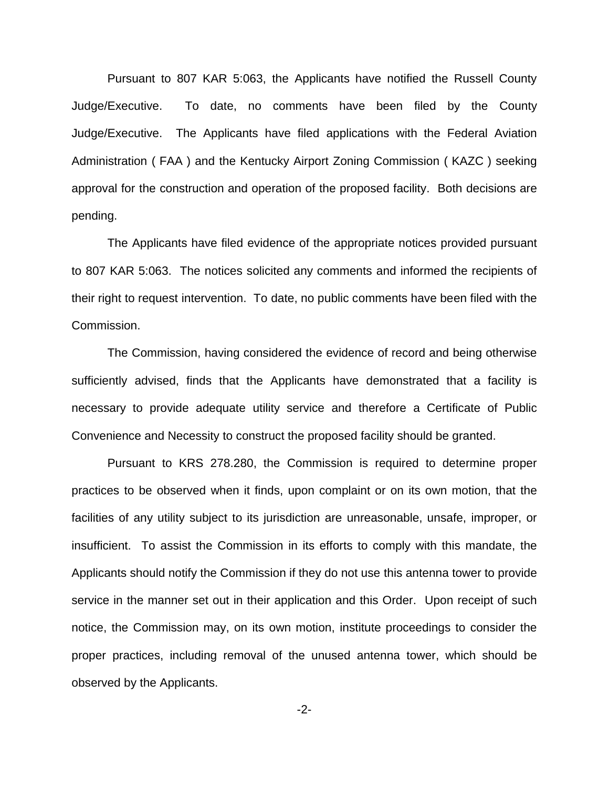Pursuant to 807 KAR 5:063, the Applicants have notified the Russell County Judge/Executive. To date, no comments have been filed by the County Judge/Executive. The Applicants have filed applications with the Federal Aviation Administration ( FAA ) and the Kentucky Airport Zoning Commission ( KAZC ) seeking approval for the construction and operation of the proposed facility. Both decisions are pending.

The Applicants have filed evidence of the appropriate notices provided pursuant to 807 KAR 5:063. The notices solicited any comments and informed the recipients of their right to request intervention. To date, no public comments have been filed with the Commission.

The Commission, having considered the evidence of record and being otherwise sufficiently advised, finds that the Applicants have demonstrated that a facility is necessary to provide adequate utility service and therefore a Certificate of Public Convenience and Necessity to construct the proposed facility should be granted.

Pursuant to KRS 278.280, the Commission is required to determine proper practices to be observed when it finds, upon complaint or on its own motion, that the facilities of any utility subject to its jurisdiction are unreasonable, unsafe, improper, or insufficient. To assist the Commission in its efforts to comply with this mandate, the Applicants should notify the Commission if they do not use this antenna tower to provide service in the manner set out in their application and this Order. Upon receipt of such notice, the Commission may, on its own motion, institute proceedings to consider the proper practices, including removal of the unused antenna tower, which should be observed by the Applicants.